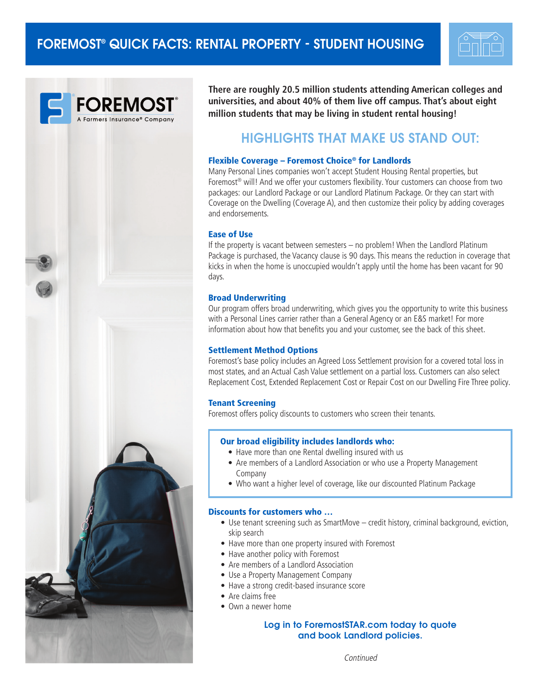



**There are roughly 20.5 million students attending American colleges and universities, and about 40% of them live off campus. That's about eight million students that may be living in student rental housing!** 

# HIGHLIGHTS THAT MAKE US STAND OUT:

## Flexible Coverage – Foremost Choice® for Landlords

Many Personal Lines companies won't accept Student Housing Rental properties, but Foremost<sup>®</sup> will! And we offer your customers flexibility. Your customers can choose from two packages: our Landlord Package or our Landlord Platinum Package. Or they can start with Coverage on the Dwelling (Coverage A), and then customize their policy by adding coverages and endorsements.

#### Ease of Use

If the property is vacant between semesters – no problem! When the Landlord Platinum Package is purchased, the Vacancy clause is 90 days. This means the reduction in coverage that kicks in when the home is unoccupied wouldn't apply until the home has been vacant for 90 days.

#### Broad Underwriting

Our program offers broad underwriting, which gives you the opportunity to write this business with a Personal Lines carrier rather than a General Agency or an E&S market! For more information about how that benefits you and your customer, see the back of this sheet.

## Settlement Method Options

Foremost's base policy includes an Agreed Loss Settlement provision for a covered total loss in most states, and an Actual Cash Value settlement on a partial loss. Customers can also select Replacement Cost, Extended Replacement Cost or Repair Cost on our Dwelling Fire Three policy.

#### Tenant Screening

Foremost offers policy discounts to customers who screen their tenants.

## Our broad eligibility includes landlords who:

- Have more than one Rental dwelling insured with us
- Are members of a Landlord Association or who use a Property Management Company
- Who want a higher level of coverage, like our discounted Platinum Package

#### Discounts for customers who …

- Use tenant screening such as SmartMove credit history, criminal background, eviction, skip search
- Have more than one property insured with Foremost
- Have another policy with Foremost
- Are members of a Landlord Association
- Use a Property Management Company
- Have a strong credit-based insurance score
- Are claims free
- Own a newer home

## Log in to ForemostSTAR.com today to quote and book Landlord policies.

Continued